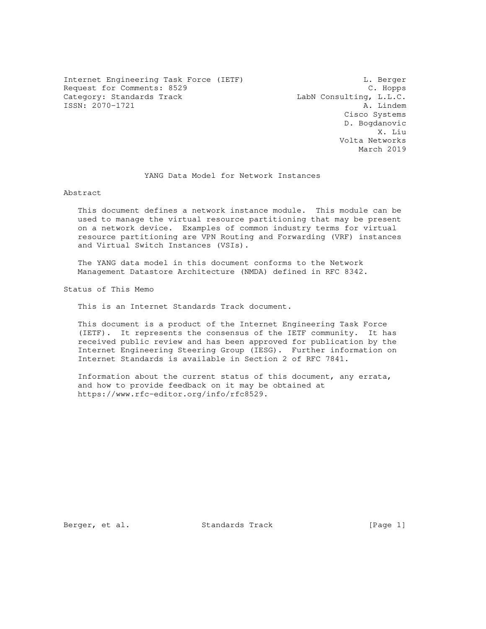Internet Engineering Task Force (IETF) and the contract of the Berger Request for Comments: 8529 C. Hopps Category: Standards Track LabN Consulting, L.L.C. ISSN: 2070-1721 A. Lindem

 Cisco Systems D. Bogdanovic X. Liu Volta Networks March 2019

YANG Data Model for Network Instances

Abstract

 This document defines a network instance module. This module can be used to manage the virtual resource partitioning that may be present on a network device. Examples of common industry terms for virtual resource partitioning are VPN Routing and Forwarding (VRF) instances and Virtual Switch Instances (VSIs).

 The YANG data model in this document conforms to the Network Management Datastore Architecture (NMDA) defined in RFC 8342.

Status of This Memo

This is an Internet Standards Track document.

 This document is a product of the Internet Engineering Task Force (IETF). It represents the consensus of the IETF community. It has received public review and has been approved for publication by the Internet Engineering Steering Group (IESG). Further information on Internet Standards is available in Section 2 of RFC 7841.

 Information about the current status of this document, any errata, and how to provide feedback on it may be obtained at https://www.rfc-editor.org/info/rfc8529.

Berger, et al. Standards Track [Page 1]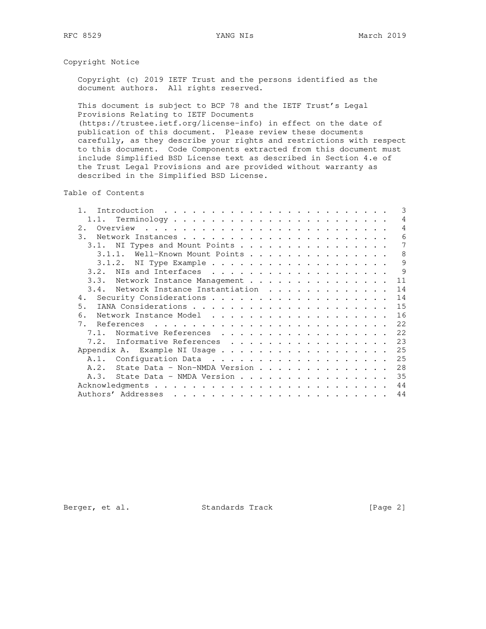Copyright Notice

 Copyright (c) 2019 IETF Trust and the persons identified as the document authors. All rights reserved.

 This document is subject to BCP 78 and the IETF Trust's Legal Provisions Relating to IETF Documents (https://trustee.ietf.org/license-info) in effect on the date of publication of this document. Please review these documents

 carefully, as they describe your rights and restrictions with respect to this document. Code Components extracted from this document must include Simplified BSD License text as described in Section 4.e of the Trust Legal Provisions and are provided without warranty as described in the Simplified BSD License.

Table of Contents

|                                        | 3  |
|----------------------------------------|----|
| 1.1.                                   | 4  |
| 2.1                                    | 4  |
| $\mathcal{E}$ .                        | 6  |
| 3.1. NI Types and Mount Points         | 7  |
| Well-Known Mount Points<br>3.1.1.      | 8  |
| 3.1.2.                                 | 9  |
| NIs and Interfaces<br>3.2.             | 9  |
| 3.3. Network Instance Management       | 11 |
| Network Instance Instantiation<br>3.4. | 14 |
| 4.                                     | 14 |
| 5.                                     | 15 |
| 6.                                     | 16 |
| 7.                                     | 22 |
| Normative References<br>7.1.           | 22 |
| 7.2.<br>Informative References         | 23 |
| Appendix A. Example NI Usage           | 25 |
|                                        | 25 |
| A.2.<br>State Data - Non-NMDA Version  | 28 |
| State Data - NMDA Version<br>A.3.      | 35 |
|                                        | 44 |
|                                        | 44 |
|                                        |    |

Berger, et al. Standards Track [Page 2]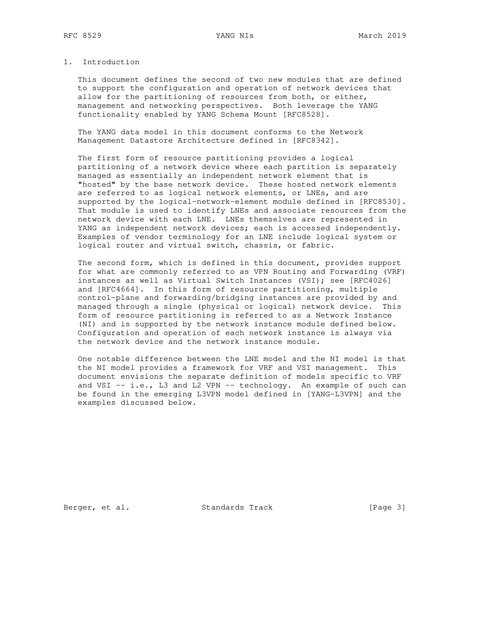# 1. Introduction

 This document defines the second of two new modules that are defined to support the configuration and operation of network devices that allow for the partitioning of resources from both, or either, management and networking perspectives. Both leverage the YANG functionality enabled by YANG Schema Mount [RFC8528].

 The YANG data model in this document conforms to the Network Management Datastore Architecture defined in [RFC8342].

 The first form of resource partitioning provides a logical partitioning of a network device where each partition is separately managed as essentially an independent network element that is "hosted" by the base network device. These hosted network elements are referred to as logical network elements, or LNEs, and are supported by the logical-network-element module defined in [RFC8530]. That module is used to identify LNEs and associate resources from the network device with each LNE. LNEs themselves are represented in YANG as independent network devices; each is accessed independently. Examples of vendor terminology for an LNE include logical system or logical router and virtual switch, chassis, or fabric.

 The second form, which is defined in this document, provides support for what are commonly referred to as VPN Routing and Forwarding (VRF) instances as well as Virtual Switch Instances (VSI); see [RFC4026] and [RFC4664]. In this form of resource partitioning, multiple control-plane and forwarding/bridging instances are provided by and managed through a single (physical or logical) network device. This form of resource partitioning is referred to as a Network Instance (NI) and is supported by the network instance module defined below. Configuration and operation of each network instance is always via the network device and the network instance module.

 One notable difference between the LNE model and the NI model is that the NI model provides a framework for VRF and VSI management. This document envisions the separate definition of models specific to VRF and VSI  $-$  i.e., L3 and L2 VPN  $-$  technology. An example of such can be found in the emerging L3VPN model defined in [YANG-L3VPN] and the examples discussed below.

Berger, et al. Standards Track [Page 3]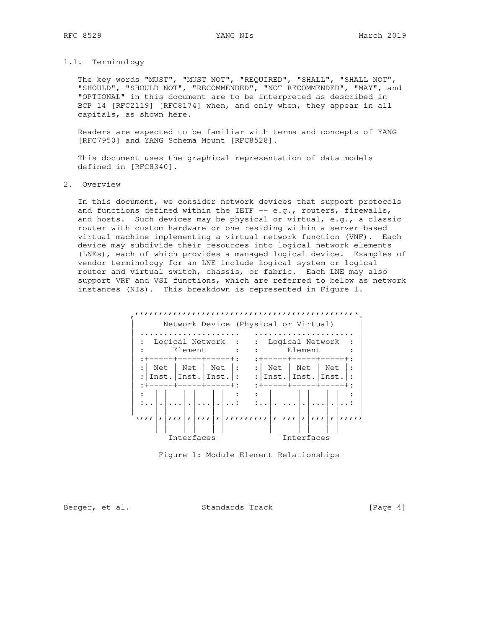# 1.1. Terminology

 The key words "MUST", "MUST NOT", "REQUIRED", "SHALL", "SHALL NOT", "SHOULD", "SHOULD NOT", "RECOMMENDED", "NOT RECOMMENDED", "MAY", and "OPTIONAL" in this document are to be interpreted as described in BCP 14 [RFC2119] [RFC8174] when, and only when, they appear in all capitals, as shown here.

 Readers are expected to be familiar with terms and concepts of YANG [RFC7950] and YANG Schema Mount [RFC8528].

 This document uses the graphical representation of data models defined in [RFC8340].

# 2. Overview

 In this document, we consider network devices that support protocols and functions defined within the IETF -- e.g., routers, firewalls, and hosts. Such devices may be physical or virtual, e.g., a classic router with custom hardware or one residing within a server-based virtual machine implementing a virtual network function (VNF). Each device may subdivide their resources into logical network elements (LNEs), each of which provides a managed logical device. Examples of vendor terminology for an LNE include logical system or logical router and virtual switch, chassis, or fabric. Each LNE may also support VRF and VSI functions, which are referred to below as network instances (NIs). This breakdown is represented in Figure 1.



Figure 1: Module Element Relationships

Berger, et al. Standards Track [Page 4]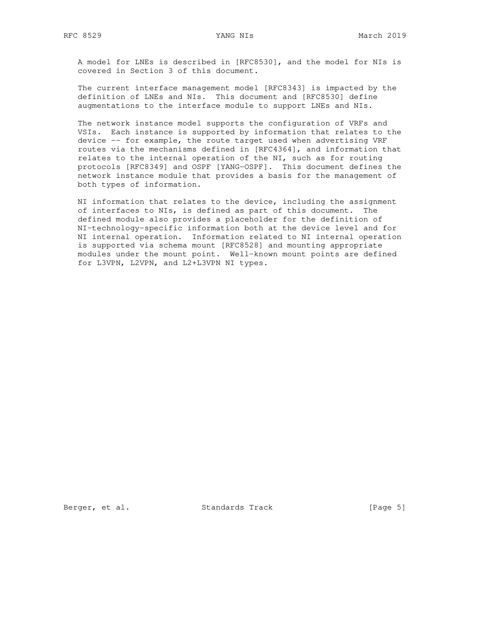A model for LNEs is described in [RFC8530], and the model for NIs is covered in Section 3 of this document.

 The current interface management model [RFC8343] is impacted by the definition of LNEs and NIs. This document and [RFC8530] define augmentations to the interface module to support LNEs and NIs.

 The network instance model supports the configuration of VRFs and VSIs. Each instance is supported by information that relates to the device -- for example, the route target used when advertising VRF routes via the mechanisms defined in [RFC4364], and information that relates to the internal operation of the NI, such as for routing protocols [RFC8349] and OSPF [YANG-OSPF]. This document defines the network instance module that provides a basis for the management of both types of information.

 NI information that relates to the device, including the assignment of interfaces to NIs, is defined as part of this document. The defined module also provides a placeholder for the definition of NI-technology-specific information both at the device level and for NI internal operation. Information related to NI internal operation is supported via schema mount [RFC8528] and mounting appropriate modules under the mount point. Well-known mount points are defined for L3VPN, L2VPN, and L2+L3VPN NI types.

Berger, et al. Standards Track [Page 5]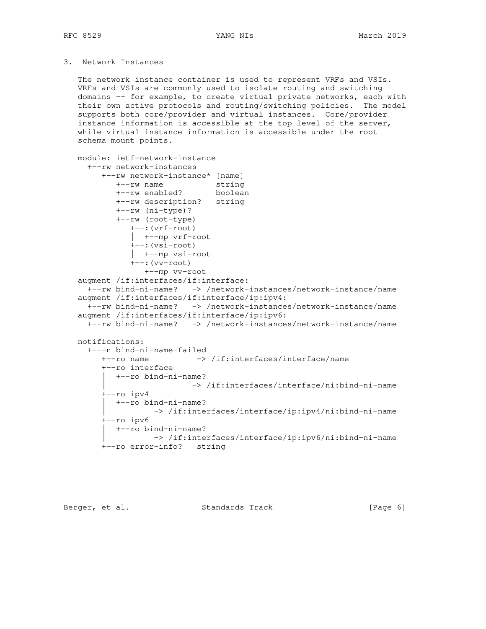# 3. Network Instances

 The network instance container is used to represent VRFs and VSIs. VRFs and VSIs are commonly used to isolate routing and switching domains -- for example, to create virtual private networks, each with their own active protocols and routing/switching policies. The model supports both core/provider and virtual instances. Core/provider instance information is accessible at the top level of the server, while virtual instance information is accessible under the root schema mount points.

```
 module: ietf-network-instance
     +--rw network-instances
        +--rw network-instance* [name]
 +--rw name string
 +--rw enabled? boolean
           +--rw description? string
           +--rw (ni-type)?
           +--rw (root-type)
              +--:(vrf-root)
              | +--mp vrf-root
              +--:(vsi-root)
              | +--mp vsi-root
              +--:(vv-root)
                 +--mp vv-root
   augment /if:interfaces/if:interface:
     +--rw bind-ni-name? -> /network-instances/network-instance/name
   augment /if:interfaces/if:interface/ip:ipv4:
     +--rw bind-ni-name? -> /network-instances/network-instance/name
   augment /if:interfaces/if:interface/ip:ipv6:
    +--rw bind-ni-name? -> /network-instances/network-instance/name
   notifications:
     +---n bind-ni-name-failed
        +--ro name -> /if:interfaces/interface/name
        +--ro interface
          | +--ro bind-ni-name?
                          | -> /if:interfaces/interface/ni:bind-ni-name
        +--ro ipv4
           | +--ro bind-ni-name?
                  | -> /if:interfaces/interface/ip:ipv4/ni:bind-ni-name
```

```
 +--ro ipv6
  | +--ro bind-ni-name?
          | -> /if:interfaces/interface/ip:ipv6/ni:bind-ni-name
```

```
 +--ro error-info? string
```
Berger, et al. Standards Track [Page 6]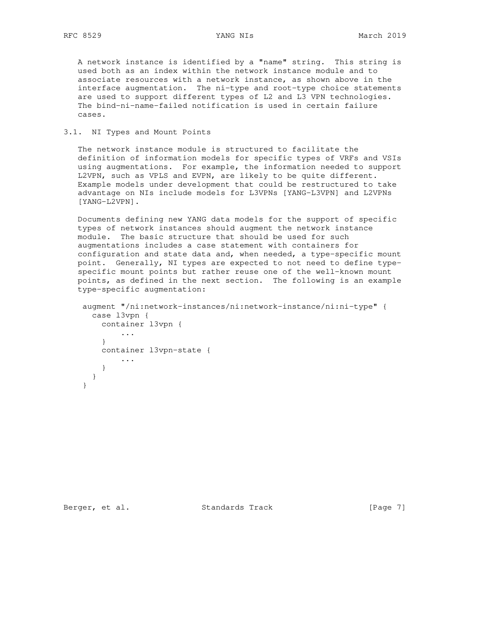A network instance is identified by a "name" string. This string is used both as an index within the network instance module and to associate resources with a network instance, as shown above in the interface augmentation. The ni-type and root-type choice statements are used to support different types of L2 and L3 VPN technologies. The bind-ni-name-failed notification is used in certain failure cases.

# 3.1. NI Types and Mount Points

 The network instance module is structured to facilitate the definition of information models for specific types of VRFs and VSIs using augmentations. For example, the information needed to support L2VPN, such as VPLS and EVPN, are likely to be quite different. Example models under development that could be restructured to take advantage on NIs include models for L3VPNs [YANG-L3VPN] and L2VPNs [YANG-L2VPN].

 Documents defining new YANG data models for the support of specific types of network instances should augment the network instance module. The basic structure that should be used for such augmentations includes a case statement with containers for configuration and state data and, when needed, a type-specific mount point. Generally, NI types are expected to not need to define type specific mount points but rather reuse one of the well-known mount points, as defined in the next section. The following is an example type-specific augmentation:

```
 augment "/ni:network-instances/ni:network-instance/ni:ni-type" {
   case l3vpn {
    container l3vpn {
          ...
    }
     container l3vpn-state {
         ...
     }
   }
 }
```
Berger, et al. Standards Track [Page 7]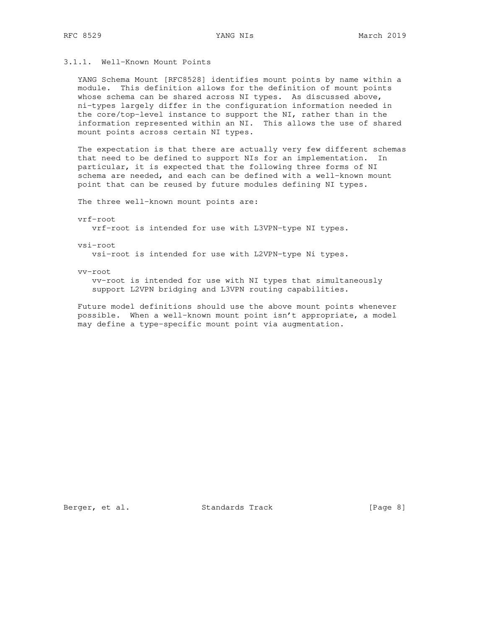# 3.1.1. Well-Known Mount Points

 YANG Schema Mount [RFC8528] identifies mount points by name within a module. This definition allows for the definition of mount points whose schema can be shared across NI types. As discussed above, ni-types largely differ in the configuration information needed in the core/top-level instance to support the NI, rather than in the information represented within an NI. This allows the use of shared mount points across certain NI types.

 The expectation is that there are actually very few different schemas that need to be defined to support NIs for an implementation. In particular, it is expected that the following three forms of NI schema are needed, and each can be defined with a well-known mount point that can be reused by future modules defining NI types.

The three well-known mount points are:

### vrf-root

vrf-root is intended for use with L3VPN-type NI types.

### vsi-root

vsi-root is intended for use with L2VPN-type Ni types.

### vv-root

 vv-root is intended for use with NI types that simultaneously support L2VPN bridging and L3VPN routing capabilities.

 Future model definitions should use the above mount points whenever possible. When a well-known mount point isn't appropriate, a model may define a type-specific mount point via augmentation.

Berger, et al. Standards Track [Page 8]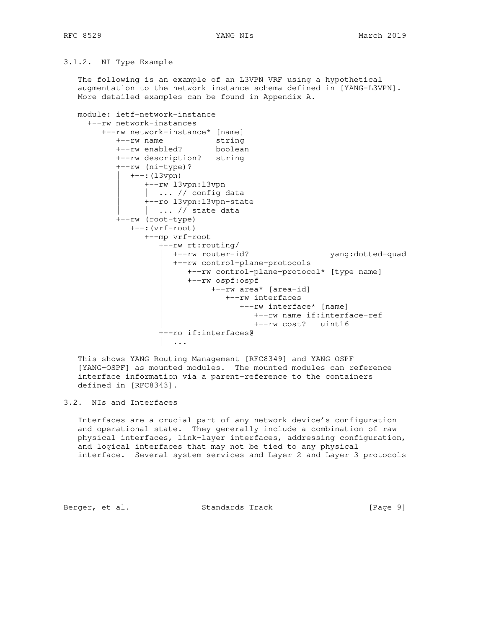## 3.1.2. NI Type Example

 The following is an example of an L3VPN VRF using a hypothetical augmentation to the network instance schema defined in [YANG-L3VPN]. More detailed examples can be found in Appendix A.

 module: ietf-network-instance +--rw network-instances +--rw network-instance\* [name] +--rw name string +--rw enabled? boolean +--rw description? string +--rw (ni-type)? | +--:(l3vpn) | +--rw l3vpn:l3vpn  $| ... //$  config data | +--ro l3vpn:l3vpn-state | ... // state data +--rw (root-type) +--:(vrf-root) +--mp vrf-root +--rw rt:routing/ | +--rw router-id? yang:dotted-quad | +--rw control-plane-protocols | +--rw control-plane-protocol\* [type name] | +--rw ospf:ospf | +--rw area\* [area-id] | +--rw interfaces | +--rw interface\* [name] | +--rw name if:interface-ref | +--rw cost? uint16 +--ro if:interfaces@ | ...

 This shows YANG Routing Management [RFC8349] and YANG OSPF [YANG-OSPF] as mounted modules. The mounted modules can reference interface information via a parent-reference to the containers defined in [RFC8343].

## 3.2. NIs and Interfaces

 Interfaces are a crucial part of any network device's configuration and operational state. They generally include a combination of raw physical interfaces, link-layer interfaces, addressing configuration, and logical interfaces that may not be tied to any physical interface. Several system services and Layer 2 and Layer 3 protocols

Berger, et al. Standards Track [Page 9]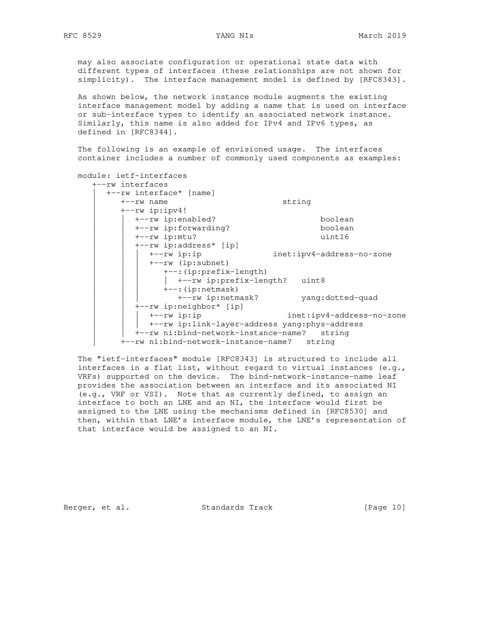may also associate configuration or operational state data with different types of interfaces (these relationships are not shown for simplicity). The interface management model is defined by [RFC8343].

 As shown below, the network instance module augments the existing interface management model by adding a name that is used on interface or sub-interface types to identify an associated network instance. Similarly, this name is also added for IPv4 and IPv6 types, as defined in [RFC8344].

 The following is an example of envisioned usage. The interfaces container includes a number of commonly used components as examples:

| module: ietf-interfaces                       |                           |  |
|-----------------------------------------------|---------------------------|--|
| +--rw interfaces                              |                           |  |
| +--rw interface* [name]                       |                           |  |
| $+--rw$ name                                  | string                    |  |
| $+--rw$ ip:ipv4!                              |                           |  |
| +--rw ip:enabled?                             | boolean                   |  |
| +--rw ip:forwarding?                          | boolean                   |  |
| $+--rw$ ip: $mtu$ ?                           | uint16                    |  |
| +--rw ip:address* [ip]                        |                           |  |
| $+--rw$ ip:ip                                 | inet:ipv4-address-no-zone |  |
| $+--rw$ (ip:subnet)                           |                           |  |
| +--: (ip:prefix-length)                       |                           |  |
| +--rw ip:prefix-length? uint8                 |                           |  |
| $+--$ : (ip:netmask)                          |                           |  |
| +--rw ip:netmask?                             | yang:dotted-quad          |  |
| +--rw ip:neighbor* [ip]                       |                           |  |
| $+--rw$ ip:ip                                 | inet:ipv4-address-no-zone |  |
| +--rw ip:link-layer-address yang:phys-address |                           |  |
| +--rw ni:bind-network-instance-name?          | string                    |  |
| +--rw ni:bind-network-instance-name?          | string                    |  |

 The "ietf-interfaces" module [RFC8343] is structured to include all interfaces in a flat list, without regard to virtual instances (e.g., VRFs) supported on the device. The bind-network-instance-name leaf provides the association between an interface and its associated NI (e.g., VRF or VSI). Note that as currently defined, to assign an interface to both an LNE and an NI, the interface would first be assigned to the LNE using the mechanisms defined in [RFC8530] and then, within that LNE's interface module, the LNE's representation of that interface would be assigned to an NI.

Berger, et al. Standards Track [Page 10]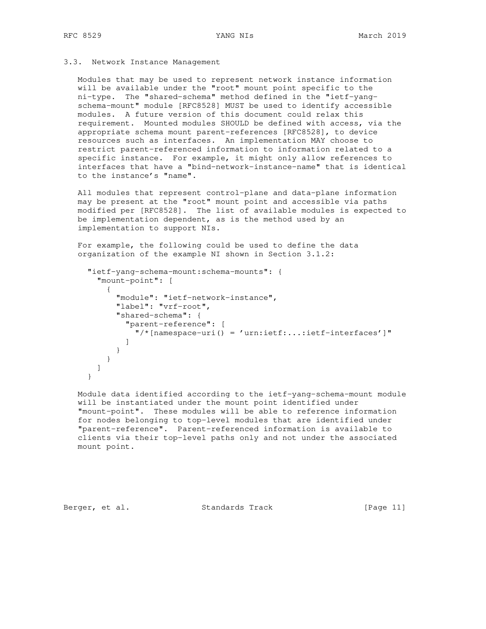## 3.3. Network Instance Management

 Modules that may be used to represent network instance information will be available under the "root" mount point specific to the ni-type. The "shared-schema" method defined in the "ietf-yang schema-mount" module [RFC8528] MUST be used to identify accessible modules. A future version of this document could relax this requirement. Mounted modules SHOULD be defined with access, via the appropriate schema mount parent-references [RFC8528], to device resources such as interfaces. An implementation MAY choose to restrict parent-referenced information to information related to a specific instance. For example, it might only allow references to interfaces that have a "bind-network-instance-name" that is identical to the instance's "name".

 All modules that represent control-plane and data-plane information may be present at the "root" mount point and accessible via paths modified per [RFC8528]. The list of available modules is expected to be implementation dependent, as is the method used by an implementation to support NIs.

 For example, the following could be used to define the data organization of the example NI shown in Section 3.1.2:

```
 "ietf-yang-schema-mount:schema-mounts": {
        "mount-point": [
          {
            "module": "ietf-network-instance",
            "label": "vrf-root",
            "shared-schema": {
              "parent-reference": [
               \sqrt{a} /* [namespace-uri() = 'urn:ietf:...:ietf-interfaces']"
 ]
            }
          }
        ]
      }
```
 Module data identified according to the ietf-yang-schema-mount module will be instantiated under the mount point identified under "mount-point". These modules will be able to reference information for nodes belonging to top-level modules that are identified under "parent-reference". Parent-referenced information is available to clients via their top-level paths only and not under the associated mount point.

Berger, et al. Standards Track [Page 11]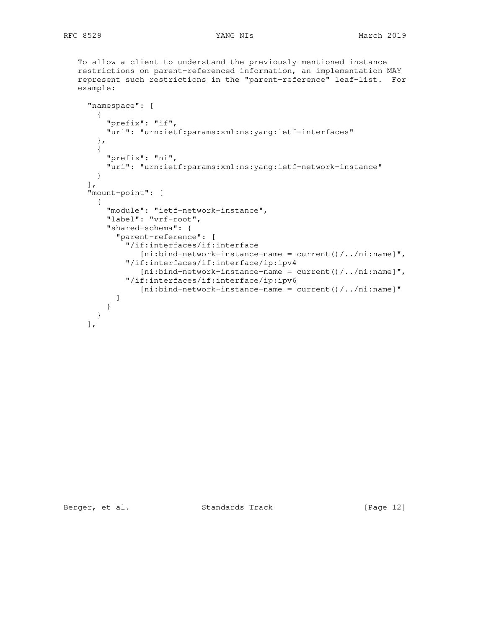To allow a client to understand the previously mentioned instance restrictions on parent-referenced information, an implementation MAY represent such restrictions in the "parent-reference" leaf-list. For example:

```
 "namespace": [
   {
     "prefix": "if",
     "uri": "urn:ietf:params:xml:ns:yang:ietf-interfaces"
   },
   {
     "prefix": "ni",
     "uri": "urn:ietf:params:xml:ns:yang:ietf-network-instance"
  }
\frac{1}{2},
 "mount-point": [
   {
     "module": "ietf-network-instance",
     "label": "vrf-root",
     "shared-schema": {
       "parent-reference": [
         "/if:interfaces/if:interface
            [ni:bind-network-instance-name = current() / . . / ni:name] "/if:interfaces/if:interface/ip:ipv4
            [ni:bind-network-instance-name = current() / . . / ni:name] "/if:interfaces/if:interface/ip:ipv6
            [ni:bind-network-instance-name = current() / ... /ni.name] ]
     }
   }
\cdot
```
Berger, et al. Standards Track [Page 12]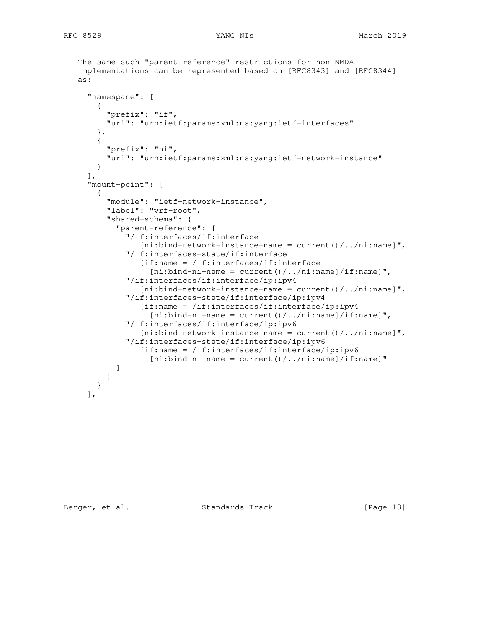```
 The same such "parent-reference" restrictions for non-NMDA
    implementations can be represented based on [RFC8343] and [RFC8344]
    as:
      "namespace": [
        {
          "prefix": "if",
          "uri": "urn:ietf:params:xml:ns:yang:ietf-interfaces"
        },
        {
          "prefix": "ni",
          "uri": "urn:ietf:params:xml:ns:yang:ietf-network-instance"
        }
     \frac{1}{2},
      "mount-point": [
        {
          "module": "ietf-network-instance",
          "label": "vrf-root",
          "shared-schema": {
            "parent-reference": [
              "/if:interfaces/if:interface
                 [ni:bind-network-instance-name = current() / . . / ni.name] "/if:interfaces-state/if:interface
                 [if:name = /if:interfaces/if:interface][ni:bind-ni-name = current() / . . / ni:name]/if:name] "/if:interfaces/if:interface/ip:ipv4
                 [ni:bind-network-instance-name = current() / . . /ni.name] "
               "/if:interfaces-state/if:interface/ip:ipv4
                  [if:name = /if:interfaces/if:interface/ip:ipv4
                   [ni:bind-ni-name = current() / . . / ni:name] / if:name] "/if:interfaces/if:interface/ip:ipv6
                 [ni:bind-network-instance-name = current() / . . /ni.name] "
               "/if:interfaces-state/if:interface/ip:ipv6
                  [if:name = /if:interfaces/if:interface/ip:ipv6
                   [ni:bind-ni-name = current() / . . / ni:name] / if:name]<sub>[</sub> ]<br>【 】
          }
        }
      ],
```
Berger, et al. Standards Track [Page 13]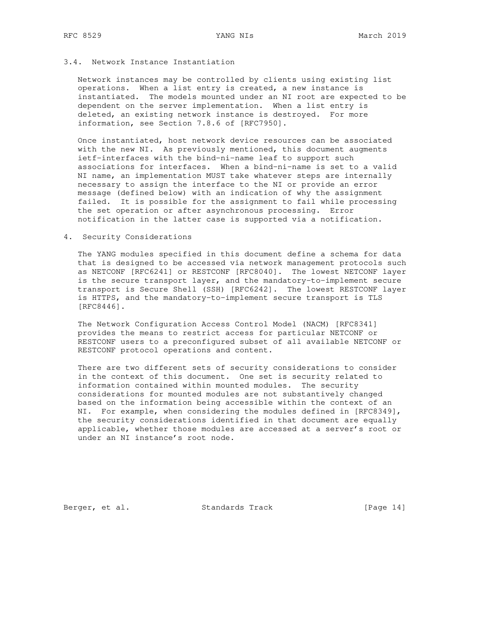# 3.4. Network Instance Instantiation

 Network instances may be controlled by clients using existing list operations. When a list entry is created, a new instance is instantiated. The models mounted under an NI root are expected to be dependent on the server implementation. When a list entry is deleted, an existing network instance is destroyed. For more information, see Section 7.8.6 of [RFC7950].

 Once instantiated, host network device resources can be associated with the new NI. As previously mentioned, this document augments ietf-interfaces with the bind-ni-name leaf to support such associations for interfaces. When a bind-ni-name is set to a valid NI name, an implementation MUST take whatever steps are internally necessary to assign the interface to the NI or provide an error message (defined below) with an indication of why the assignment failed. It is possible for the assignment to fail while processing the set operation or after asynchronous processing. Error notification in the latter case is supported via a notification.

## 4. Security Considerations

 The YANG modules specified in this document define a schema for data that is designed to be accessed via network management protocols such as NETCONF [RFC6241] or RESTCONF [RFC8040]. The lowest NETCONF layer is the secure transport layer, and the mandatory-to-implement secure transport is Secure Shell (SSH) [RFC6242]. The lowest RESTCONF layer is HTTPS, and the mandatory-to-implement secure transport is TLS [RFC8446].

 The Network Configuration Access Control Model (NACM) [RFC8341] provides the means to restrict access for particular NETCONF or RESTCONF users to a preconfigured subset of all available NETCONF or RESTCONF protocol operations and content.

 There are two different sets of security considerations to consider in the context of this document. One set is security related to information contained within mounted modules. The security considerations for mounted modules are not substantively changed based on the information being accessible within the context of an NI. For example, when considering the modules defined in [RFC8349], the security considerations identified in that document are equally applicable, whether those modules are accessed at a server's root or under an NI instance's root node.

Berger, et al. Standards Track [Page 14]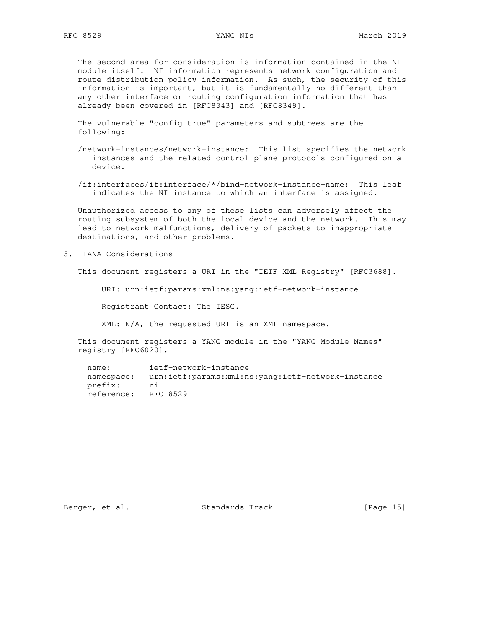The second area for consideration is information contained in the NI module itself. NI information represents network configuration and route distribution policy information. As such, the security of this information is important, but it is fundamentally no different than any other interface or routing configuration information that has already been covered in [RFC8343] and [RFC8349].

 The vulnerable "config true" parameters and subtrees are the following:

 /network-instances/network-instance: This list specifies the network instances and the related control plane protocols configured on a device.

 /if:interfaces/if:interface/\*/bind-network-instance-name: This leaf indicates the NI instance to which an interface is assigned.

 Unauthorized access to any of these lists can adversely affect the routing subsystem of both the local device and the network. This may lead to network malfunctions, delivery of packets to inappropriate destinations, and other problems.

5. IANA Considerations

This document registers a URI in the "IETF XML Registry" [RFC3688].

URI: urn:ietf:params:xml:ns:yang:ietf-network-instance

Registrant Contact: The IESG.

XML: N/A, the requested URI is an XML namespace.

 This document registers a YANG module in the "YANG Module Names" registry [RFC6020].

 name: ietf-network-instance namespace: urn:ietf:params:xml:ns:yang:ietf-network-instance prefix: ni reference: RFC 8529

Berger, et al. Standards Track [Page 15]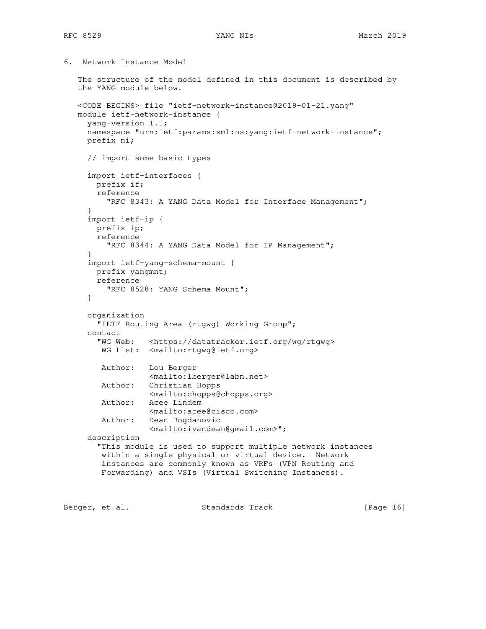```
6. Network Instance Model
```

```
 The structure of the model defined in this document is described by
    the YANG module below.
    <CODE BEGINS> file "ietf-network-instance@2019-01-21.yang"
   module ietf-network-instance {
     yang-version 1.1;
     namespace "urn:ietf:params:xml:ns:yang:ietf-network-instance";
     prefix ni;
     // import some basic types
      import ietf-interfaces {
       prefix if;
       reference
         "RFC 8343: A YANG Data Model for Interface Management";
      }
      import ietf-ip {
       prefix ip;
       reference
         "RFC 8344: A YANG Data Model for IP Management";
 }
      import ietf-yang-schema-mount {
       prefix yangmnt;
       reference
          "RFC 8528: YANG Schema Mount";
      }
     organization
        "IETF Routing Area (rtgwg) Working Group";
      contact
        "WG Web: <https://datatracker.ietf.org/wg/rtgwg>
        WG List: <mailto:rtgwg@ietf.org>
        Author: Lou Berger
                  <mailto:lberger@labn.net>
        Author: Christian Hopps
                  <mailto:chopps@chopps.org>
        Author: Acee Lindem
                  <mailto:acee@cisco.com>
        Author: Dean Bogdanovic
                  <mailto:ivandean@gmail.com>";
      description
        "This module is used to support multiple network instances
        within a single physical or virtual device. Network
        instances are commonly known as VRFs (VPN Routing and
        Forwarding) and VSIs (Virtual Switching Instances).
Berger, et al. Standards Track [Page 16]
```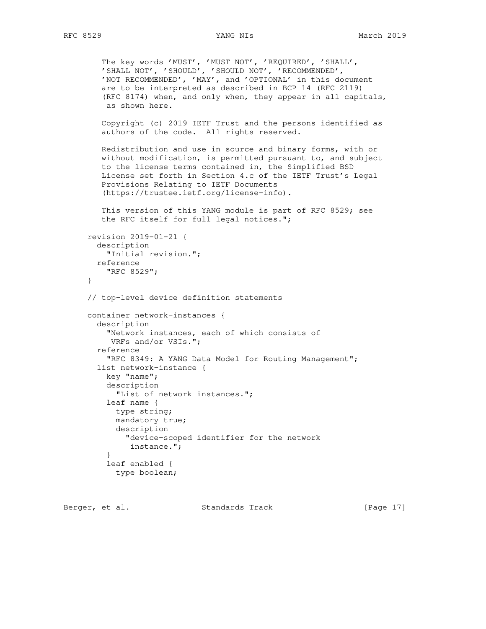```
 The key words 'MUST', 'MUST NOT', 'REQUIRED', 'SHALL',
 'SHALL NOT', 'SHOULD', 'SHOULD NOT', 'RECOMMENDED',
         'NOT RECOMMENDED', 'MAY', and 'OPTIONAL' in this document
         are to be interpreted as described in BCP 14 (RFC 2119)
         (RFC 8174) when, and only when, they appear in all capitals,
         as shown here.
        Copyright (c) 2019 IETF Trust and the persons identified as
        authors of the code. All rights reserved.
        Redistribution and use in source and binary forms, with or
        without modification, is permitted pursuant to, and subject
        to the license terms contained in, the Simplified BSD
        License set forth in Section 4.c of the IETF Trust's Legal
        Provisions Relating to IETF Documents
         (https://trustee.ietf.org/license-info).
        This version of this YANG module is part of RFC 8529; see
        the RFC itself for full legal notices.";
     revision 2019-01-21 {
       description
         "Initial revision.";
       reference
         "RFC 8529";
     }
     // top-level device definition statements
     container network-instances {
       description
          "Network instances, each of which consists of
          VRFs and/or VSIs.";
       reference
          "RFC 8349: A YANG Data Model for Routing Management";
       list network-instance {
         key "name";
         description
           "List of network instances.";
         leaf name {
           type string;
           mandatory true;
           description
              "device-scoped identifier for the network
              instance.";
 }
         leaf enabled {
           type boolean;
```
Berger, et al. Standards Track [Page 17]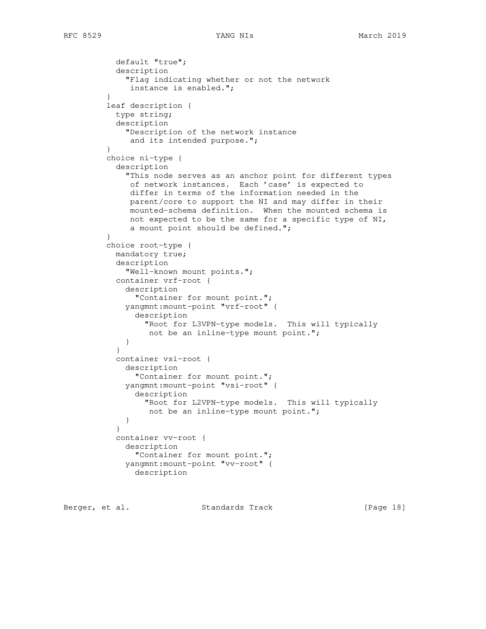```
 default "true";
           description
             "Flag indicating whether or not the network
              instance is enabled.";
 }
         leaf description {
           type string;
           description
             "Description of the network instance
             and its intended purpose.";
 }
         choice ni-type {
           description
             "This node serves as an anchor point for different types
              of network instances. Each 'case' is expected to
              differ in terms of the information needed in the
              parent/core to support the NI and may differ in their
              mounted-schema definition. When the mounted schema is
              not expected to be the same for a specific type of NI,
              a mount point should be defined.";
 }
         choice root-type {
           mandatory true;
           description
             "Well-known mount points.";
           container vrf-root {
             description
               "Container for mount point.";
             yangmnt:mount-point "vrf-root" {
               description
                 "Root for L3VPN-type models. This will typically
                 not be an inline-type mount point.";
 }
 }
           container vsi-root {
             description
               "Container for mount point.";
             yangmnt:mount-point "vsi-root" {
               description
                 "Root for L2VPN-type models. This will typically
                  not be an inline-type mount point.";
 }
 }
           container vv-root {
             description
               "Container for mount point.";
             yangmnt:mount-point "vv-root" {
               description
```
Berger, et al. Standards Track [Page 18]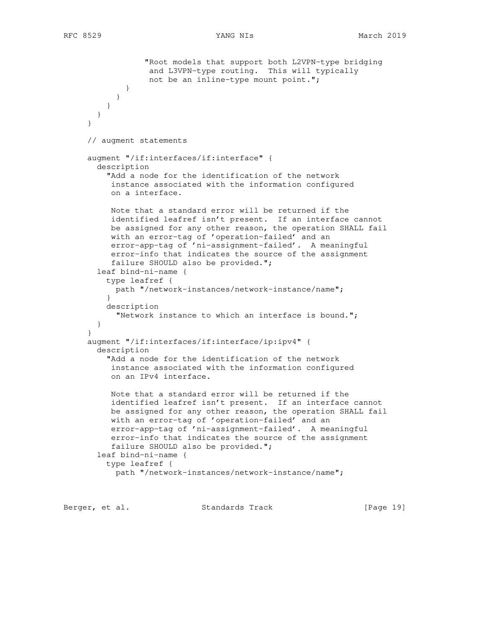```
 "Root models that support both L2VPN-type bridging
                  and L3VPN-type routing. This will typically
                  not be an inline-type mount point.";
 }
 }
 }
       }
     }
     // augment statements
     augment "/if:interfaces/if:interface" {
       description
         "Add a node for the identification of the network
          instance associated with the information configured
          on a interface.
          Note that a standard error will be returned if the
          identified leafref isn't present. If an interface cannot
          be assigned for any other reason, the operation SHALL fail
          with an error-tag of 'operation-failed' and an
          error-app-tag of 'ni-assignment-failed'. A meaningful
          error-info that indicates the source of the assignment
          failure SHOULD also be provided.";
       leaf bind-ni-name {
         type leafref {
           path "/network-instances/network-instance/name";
 }
         description
           "Network instance to which an interface is bound.";
       }
     }
     augment "/if:interfaces/if:interface/ip:ipv4" {
       description
          "Add a node for the identification of the network
          instance associated with the information configured
          on an IPv4 interface.
          Note that a standard error will be returned if the
          identified leafref isn't present. If an interface cannot
          be assigned for any other reason, the operation SHALL fail
          with an error-tag of 'operation-failed' and an
          error-app-tag of 'ni-assignment-failed'. A meaningful
          error-info that indicates the source of the assignment
          failure SHOULD also be provided.";
       leaf bind-ni-name {
         type leafref {
           path "/network-instances/network-instance/name";
```
Berger, et al. Standards Track [Page 19]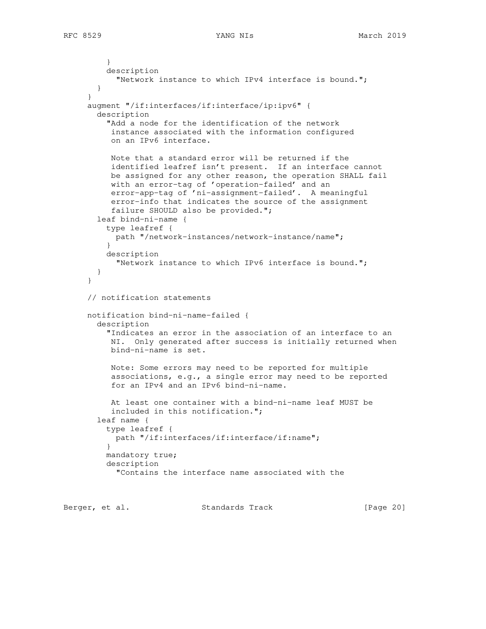```
 }
         description
            "Network instance to which IPv4 interface is bound.";
        }
      }
     augment "/if:interfaces/if:interface/ip:ipv6" {
        description
          "Add a node for the identification of the network
          instance associated with the information configured
          on an IPv6 interface.
          Note that a standard error will be returned if the
          identified leafref isn't present. If an interface cannot
          be assigned for any other reason, the operation SHALL fail
           with an error-tag of 'operation-failed' and an
          error-app-tag of 'ni-assignment-failed'. A meaningful
           error-info that indicates the source of the assignment
           failure SHOULD also be provided.";
       leaf bind-ni-name {
         type leafref {
           path "/network-instances/network-instance/name";
         }
         description
            "Network instance to which IPv6 interface is bound.";
        }
      }
     // notification statements
     notification bind-ni-name-failed {
       description
          "Indicates an error in the association of an interface to an
          NI. Only generated after success is initially returned when
          bind-ni-name is set.
          Note: Some errors may need to be reported for multiple
          associations, e.g., a single error may need to be reported
          for an IPv4 and an IPv6 bind-ni-name.
          At least one container with a bind-ni-name leaf MUST be
          included in this notification.";
        leaf name {
         type leafref {
           path "/if:interfaces/if:interface/if:name";
         }
         mandatory true;
         description
            "Contains the interface name associated with the
```
Berger, et al. Standards Track [Page 20]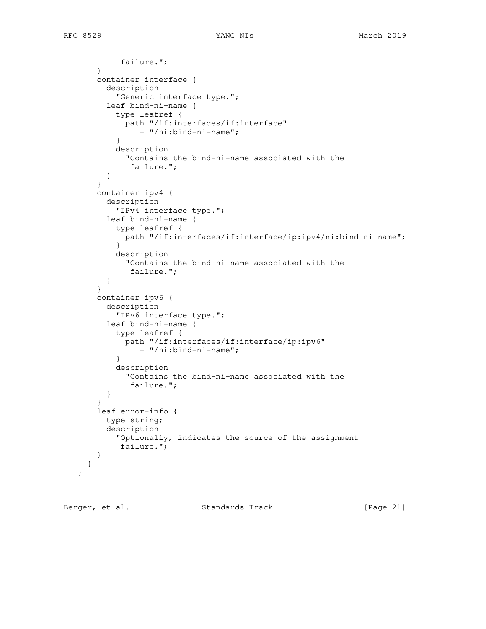```
 failure.";
        }
        container interface {
          description
            "Generic interface type.";
          leaf bind-ni-name {
            type leafref {
             path "/if:interfaces/if:interface"
                 + "/ni:bind-ni-name";
            }
            description
              "Contains the bind-ni-name associated with the
               failure.";
          }
        }
        container ipv4 {
          description
            "IPv4 interface type.";
          leaf bind-ni-name {
            type leafref {
             path "/if:interfaces/if:interface/ip:ipv4/ni:bind-ni-name";
            }
            description
              "Contains the bind-ni-name associated with the
               failure.";
 }
        }
        container ipv6 {
          description
            "IPv6 interface type.";
          leaf bind-ni-name {
            type leafref {
             path "/if:interfaces/if:interface/ip:ipv6"
                 + "/ni:bind-ni-name";
            }
            description
              "Contains the bind-ni-name associated with the
               failure.";
          }
        }
        leaf error-info {
         type string;
          description
            "Optionally, indicates the source of the assignment
            failure.";
        }
      }
   }
```
Berger, et al. Standards Track [Page 21]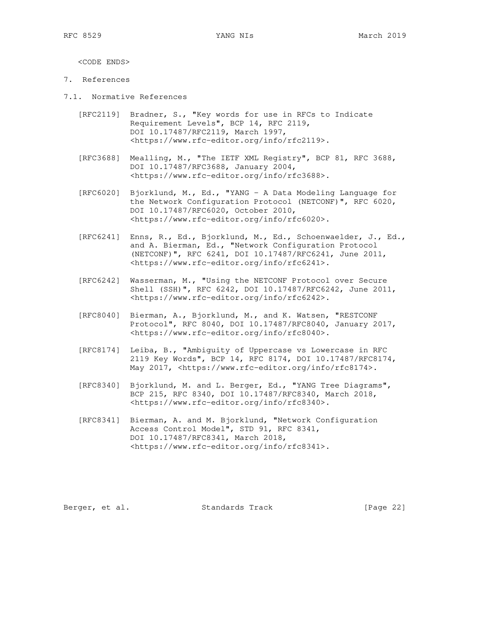<CODE ENDS>

- 7. References
- 7.1. Normative References
	- [RFC2119] Bradner, S., "Key words for use in RFCs to Indicate Requirement Levels", BCP 14, RFC 2119, DOI 10.17487/RFC2119, March 1997, <https://www.rfc-editor.org/info/rfc2119>.
	- [RFC3688] Mealling, M., "The IETF XML Registry", BCP 81, RFC 3688, DOI 10.17487/RFC3688, January 2004, <https://www.rfc-editor.org/info/rfc3688>.
	- [RFC6020] Bjorklund, M., Ed., "YANG A Data Modeling Language for the Network Configuration Protocol (NETCONF)", RFC 6020, DOI 10.17487/RFC6020, October 2010, <https://www.rfc-editor.org/info/rfc6020>.
	- [RFC6241] Enns, R., Ed., Bjorklund, M., Ed., Schoenwaelder, J., Ed., and A. Bierman, Ed., "Network Configuration Protocol (NETCONF)", RFC 6241, DOI 10.17487/RFC6241, June 2011, <https://www.rfc-editor.org/info/rfc6241>.
	- [RFC6242] Wasserman, M., "Using the NETCONF Protocol over Secure Shell (SSH)", RFC 6242, DOI 10.17487/RFC6242, June 2011, <https://www.rfc-editor.org/info/rfc6242>.
	- [RFC8040] Bierman, A., Bjorklund, M., and K. Watsen, "RESTCONF Protocol", RFC 8040, DOI 10.17487/RFC8040, January 2017, <https://www.rfc-editor.org/info/rfc8040>.
	- [RFC8174] Leiba, B., "Ambiguity of Uppercase vs Lowercase in RFC 2119 Key Words", BCP 14, RFC 8174, DOI 10.17487/RFC8174, May 2017, <https://www.rfc-editor.org/info/rfc8174>.
	- [RFC8340] Bjorklund, M. and L. Berger, Ed., "YANG Tree Diagrams", BCP 215, RFC 8340, DOI 10.17487/RFC8340, March 2018, <https://www.rfc-editor.org/info/rfc8340>.
	- [RFC8341] Bierman, A. and M. Bjorklund, "Network Configuration Access Control Model", STD 91, RFC 8341, DOI 10.17487/RFC8341, March 2018, <https://www.rfc-editor.org/info/rfc8341>.

Berger, et al. Standards Track [Page 22]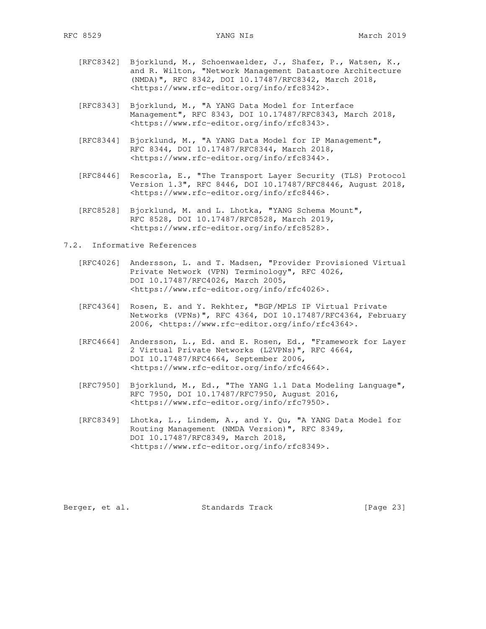- [RFC8342] Bjorklund, M., Schoenwaelder, J., Shafer, P., Watsen, K., and R. Wilton, "Network Management Datastore Architecture (NMDA)", RFC 8342, DOI 10.17487/RFC8342, March 2018, <https://www.rfc-editor.org/info/rfc8342>.
- [RFC8343] Bjorklund, M., "A YANG Data Model for Interface Management", RFC 8343, DOI 10.17487/RFC8343, March 2018, <https://www.rfc-editor.org/info/rfc8343>.
- [RFC8344] Bjorklund, M., "A YANG Data Model for IP Management", RFC 8344, DOI 10.17487/RFC8344, March 2018, <https://www.rfc-editor.org/info/rfc8344>.
- [RFC8446] Rescorla, E., "The Transport Layer Security (TLS) Protocol Version 1.3", RFC 8446, DOI 10.17487/RFC8446, August 2018, <https://www.rfc-editor.org/info/rfc8446>.
	- [RFC8528] Bjorklund, M. and L. Lhotka, "YANG Schema Mount", RFC 8528, DOI 10.17487/RFC8528, March 2019, <https://www.rfc-editor.org/info/rfc8528>.
- 7.2. Informative References
	- [RFC4026] Andersson, L. and T. Madsen, "Provider Provisioned Virtual Private Network (VPN) Terminology", RFC 4026, DOI 10.17487/RFC4026, March 2005, <https://www.rfc-editor.org/info/rfc4026>.
	- [RFC4364] Rosen, E. and Y. Rekhter, "BGP/MPLS IP Virtual Private Networks (VPNs)", RFC 4364, DOI 10.17487/RFC4364, February 2006, <https://www.rfc-editor.org/info/rfc4364>.
	- [RFC4664] Andersson, L., Ed. and E. Rosen, Ed., "Framework for Layer 2 Virtual Private Networks (L2VPNs)", RFC 4664, DOI 10.17487/RFC4664, September 2006, <https://www.rfc-editor.org/info/rfc4664>.
	- [RFC7950] Bjorklund, M., Ed., "The YANG 1.1 Data Modeling Language", RFC 7950, DOI 10.17487/RFC7950, August 2016, <https://www.rfc-editor.org/info/rfc7950>.
	- [RFC8349] Lhotka, L., Lindem, A., and Y. Qu, "A YANG Data Model for Routing Management (NMDA Version)", RFC 8349, DOI 10.17487/RFC8349, March 2018, <https://www.rfc-editor.org/info/rfc8349>.

Berger, et al. Standards Track [Page 23]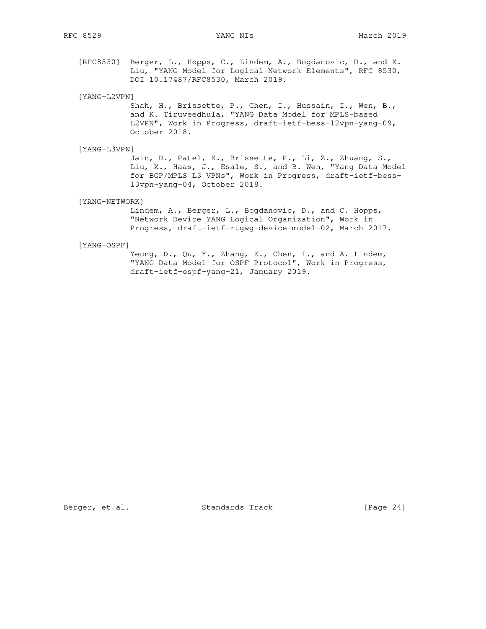[RFC8530] Berger, L., Hopps, C., Lindem, A., Bogdanovic, D., and X. Liu, "YANG Model for Logical Network Elements", RFC 8530, DOI 10.17487/RFC8530, March 2019.

[YANG-L2VPN]

 Shah, H., Brissette, P., Chen, I., Hussain, I., Wen, B., and K. Tiruveedhula, "YANG Data Model for MPLS-based L2VPN", Work in Progress, draft-ietf-bess-l2vpn-yang-09, October 2018.

[YANG-L3VPN]

 Jain, D., Patel, K., Brissette, P., Li, Z., Zhuang, S., Liu, X., Haas, J., Esale, S., and B. Wen, "Yang Data Model for BGP/MPLS L3 VPNs", Work in Progress, draft-ietf-bess l3vpn-yang-04, October 2018.

[YANG-NETWORK]

 Lindem, A., Berger, L., Bogdanovic, D., and C. Hopps, "Network Device YANG Logical Organization", Work in Progress, draft-ietf-rtgwg-device-model-02, March 2017.

### [YANG-OSPF]

 Yeung, D., Qu, Y., Zhang, Z., Chen, I., and A. Lindem, "YANG Data Model for OSPF Protocol", Work in Progress, draft-ietf-ospf-yang-21, January 2019.

Berger, et al. Standards Track [Page 24]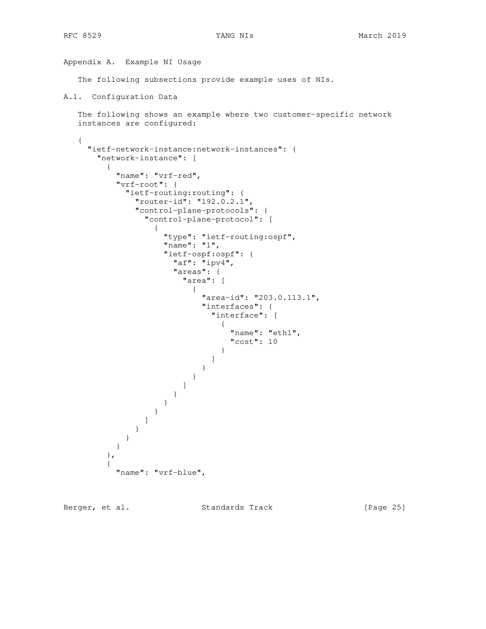Appendix A. Example NI Usage

The following subsections provide example uses of NIs.

```
A.1. Configuration Data
```

```
 The following shows an example where two customer-specific network
 instances are configured:
```

```
 {
      "ietf-network-instance:network-instances": {
        "network-instance": [
\overline{\mathcal{A}} "name": "vrf-red",
            "vrf-root": {
             "ietf-routing:routing": {
                "router-id": "192.0.2.1",
                "control-plane-protocols": {
                  "control-plane-protocol": [
{
                      "type": "ietf-routing:ospf",
                      "name": "1",
                      "ietf-ospf:ospf": {
                        "af": "ipv4",
                        "areas": {
                          "area": [
 {
                               "area-id": "203.0.113.1",
                              "interfaces": {
                                 "interface": [
 {
                                     "name": "eth1",
                                     "cost": 10
 }
\mathbf{I} and \mathbf{I} are the set of \mathbf{I} and \mathbf{I} }
 }
\sim 100 \sim 100 \sim 100 \sim 100 \sim 100 \sim 100 \sim 100 \sim 100 \sim 100 \sim 100 \sim 100 \sim 100 \sim 100 \sim 100 \sim 100 \sim 100 \sim 100 \sim 100 \sim 100 \sim 100 \sim 100 \sim 100 \sim 100 \sim 100 \sim 
 }
 }
 }
 ]
 }
 }
 }
          },
\overline{\mathcal{A}} "name": "vrf-blue",
```
Berger, et al. Standards Track [Page 25]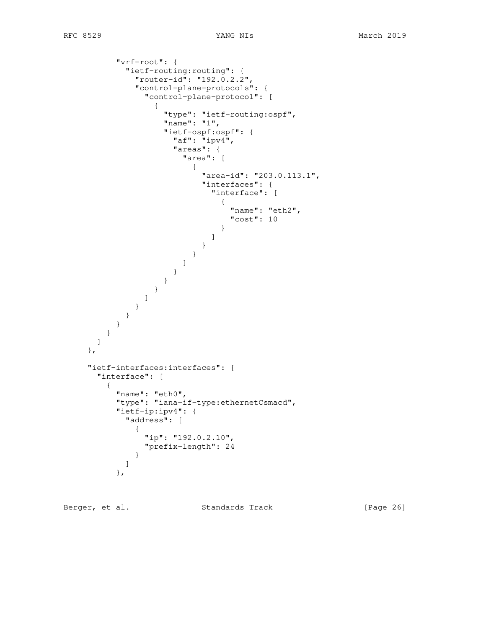```
 "vrf-root": {
          "ietf-routing:routing": {
           "router-id": "192.0.2.2",
           "control-plane-protocols": {
             "control-plane-protocol": [
 {
                "type": "ietf-routing:ospf",
                "name": "1",
                "ietf-ospf:ospf": {
                 "af": "ipv4",
                 "areas": {
                   "area": [
 {
                      "area-id": "203.0.113.1",
                      "interfaces": {
                       "interface": [
 {
                          "name": "eth2",
                          "cost": 10
 }
\overline{\phantom{a}} }
 }
\blacksquare }
 }
 }
 ]
           }
         }
        }
       }
     ]
    },
    "ietf-interfaces:interfaces": {
     "interface": [
\overline{\mathcal{A}} "name": "eth0",
        "type": "iana-if-type:ethernetCsmacd",
        "ietf-ip:ipv4": {
          "address": [
 {
             "ip": "192.0.2.10",
             "prefix-length": 24
 }
 ]
        },
```
Berger, et al. Standards Track [Page 26]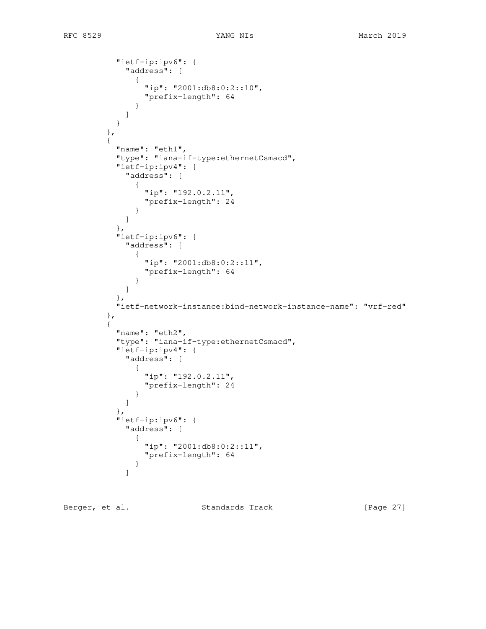```
 "ietf-ip:ipv6": {
            "address": [
 {
               "ip": "2001:db8:0:2::10",
               "prefix-length": 64
 }
 ]
 }
        },
\overline{\mathcal{L}} "name": "eth1",
          "type": "iana-if-type:ethernetCsmacd",
          "ietf-ip:ipv4": {
           "address": [
 {
              "ip": "192.0.2.11",
               "prefix-length": 24
 }
 ]
          },
          "ietf-ip:ipv6": {
           "address": [
 {
               "ip": "2001:db8:0:2::11",
               "prefix-length": 64
 }
 ]
          },
          "ietf-network-instance:bind-network-instance-name": "vrf-red"
        },
\overline{\mathcal{L}} "name": "eth2",
          "type": "iana-if-type:ethernetCsmacd",
          "ietf-ip:ipv4": {
           "address": [
 {
               "ip": "192.0.2.11",
               "prefix-length": 24
 }
 ]
          },
          "ietf-ip:ipv6": {
           "address": [
 {
               "ip": "2001:db8:0:2::11",
              "prefix-length": 64
 }
 ]
```
Berger, et al. Standards Track [Page 27]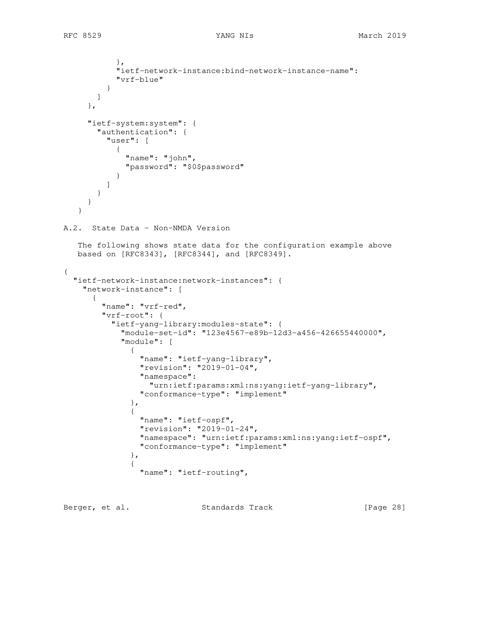```
 },
            "ietf-network-instance:bind-network-instance-name":
            "vrf-blue"
 }
        ]
      },
      "ietf-system:system": {
        "authentication": {
          "user": [
 {
              "name": "john",
              "password": "$0$password"
 }
          ]
       }
      }
    }
A.2. State Data - Non-NMDA Version
    The following shows state data for the configuration example above
   based on [RFC8343], [RFC8344], and [RFC8349].
{
   "ietf-network-instance:network-instances": {
     "network-instance": [
       {
         "name": "vrf-red",
         "vrf-root": {
           "ietf-yang-library:modules-state": {
             "module-set-id": "123e4567-e89b-12d3-a456-426655440000",
             "module": [
 {
                 "name": "ietf-yang-library",
                 "revision": "2019-01-04",
                 "namespace":
                  "urn:ietf:params:xml:ns:yang:ietf-yang-library",
                 "conformance-type": "implement"
               },
 {
                 "name": "ietf-ospf",
                 "revision": "2019-01-24",
                 "namespace": "urn:ietf:params:xml:ns:yang:ietf-ospf",
                 "conformance-type": "implement"
               },
 {
                 "name": "ietf-routing",
```
Berger, et al. Standards Track [Page 28]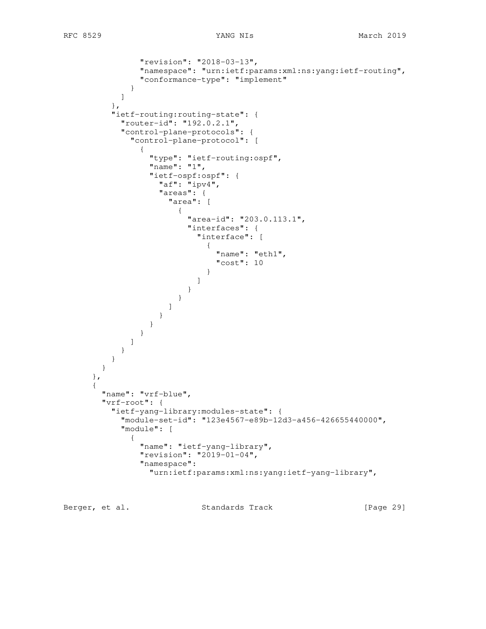```
 "revision": "2018-03-13",
               "namespace": "urn:ietf:params:xml:ns:yang:ietf-routing",
               "conformance-type": "implement"
 }
           ]
         },
          "ietf-routing:routing-state": {
           "router-id": "192.0.2.1",
           "control-plane-protocols": {
             "control-plane-protocol": [
 {
                 "type": "ietf-routing:ospf",
                 "name": "1",
                 "ietf-ospf:ospf": {
                 "af": "ipv4", "areas": {
                    "area": [
{
                        "area-id": "203.0.113.1",
                        "interfaces": {
                          "interface": [
 {
                             "name": "eth1",
                             "cost": 10
 }
 ]
 }
 }
design to the control of the control of the control of the control of the control of the control of the control of
 }
 }
 }
             ]
           }
         }
        }
      },
      {
        "name": "vrf-blue",
        "vrf-root": {
         "ietf-yang-library:modules-state": {
           "module-set-id": "123e4567-e89b-12d3-a456-426655440000",
           "module": [
 {
               "name": "ietf-yang-library",
               "revision": "2019-01-04",
               "namespace":
                 "urn:ietf:params:xml:ns:yang:ietf-yang-library",
```
Berger, et al. Standards Track [Page 29]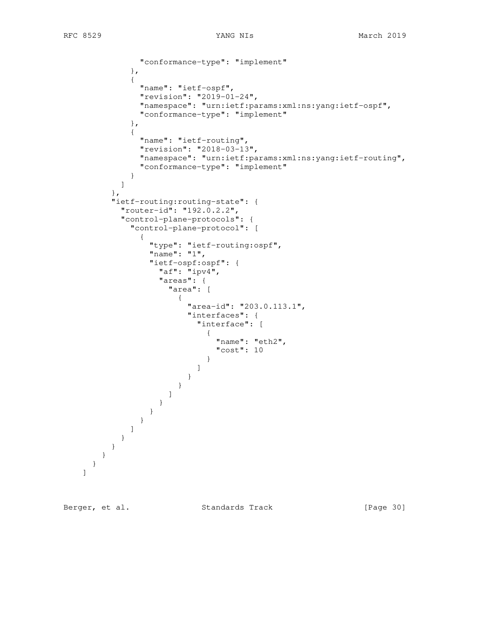```
 "conformance-type": "implement"
               },
 {
                 "name": "ietf-ospf",
                 "revision": "2019-01-24",
                 "namespace": "urn:ietf:params:xml:ns:yang:ietf-ospf",
                 "conformance-type": "implement"
               },
 {
                 "name": "ietf-routing",
                 "revision": "2018-03-13",
                 "namespace": "urn:ietf:params:xml:ns:yang:ietf-routing",
                 "conformance-type": "implement"
 }
             ]
           },
           "ietf-routing:routing-state": {
             "router-id": "192.0.2.2",
             "control-plane-protocols": {
               "control-plane-protocol": [
 {
                   "type": "ietf-routing:ospf",
                   "name": "1",
                   "ietf-ospf:ospf": {
                     "af": "ipv4",
                      "areas": {
                        "area": [
{
                            "area-id": "203.0.113.1",
                            "interfaces": {
                              "interface": [
 {
                                  "name": "eth2",
                                  "cost": 10
 }
\blacksquare }
 }
\sim 100 \sim 100 \sim 100 \sim 100 \sim 100 \sim 100 \sim 100 \sim 100 \sim 100 \sim 100 \sim 100 \sim 100 \sim 100 \sim 100 \sim 100 \sim 100 \sim 100 \sim 100 \sim 100 \sim 100 \sim 100 \sim 100 \sim 100 \sim 100 \sim 
 }
                  }
                }
              ]
          \qquad \qquad }
          }
        }
      }
```
]

Berger, et al. Standards Track [Page 30]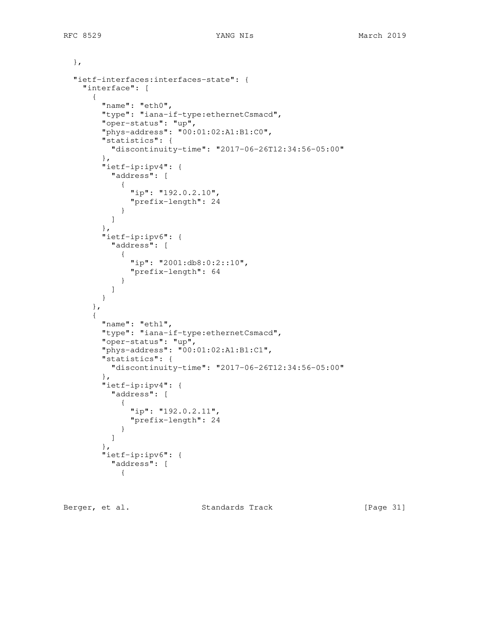```
 },
   "ietf-interfaces:interfaces-state": {
     "interface": [
       {
         "name": "eth0",
         "type": "iana-if-type:ethernetCsmacd",
         "oper-status": "up",
         "phys-address": "00:01:02:A1:B1:C0",
         "statistics": {
           "discontinuity-time": "2017-06-26T12:34:56-05:00"
         },
         "ietf-ip:ipv4": {
           "address": [
             {
               "ip": "192.0.2.10",
               "prefix-length": 24
             }
           ]
         },
         "ietf-ip:ipv6": {
           "address": [
 {
               "ip": "2001:db8:0:2::10",
               "prefix-length": 64
 }
           ]
         }
       },
       {
         "name": "eth1",
         "type": "iana-if-type:ethernetCsmacd",
         "oper-status": "up",
         "phys-address": "00:01:02:A1:B1:C1",
         "statistics": {
           "discontinuity-time": "2017-06-26T12:34:56-05:00"
         },
         "ietf-ip:ipv4": {
           "address": [
             {
               "ip": "192.0.2.11",
               "prefix-length": 24
             }
           ]
         },
         "ietf-ip:ipv6": {
           "address": [
             {
```
Berger, et al. Standards Track [Page 31]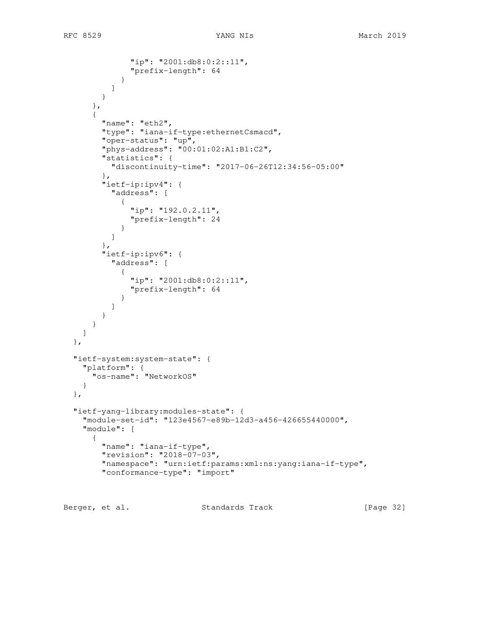```
 "ip": "2001:db8:0:2::11",
               "prefix-length": 64
 }
          ]
         }
      },
       {
         "name": "eth2",
         "type": "iana-if-type:ethernetCsmacd",
         "oper-status": "up",
         "phys-address": "00:01:02:A1:B1:C2",
         "statistics": {
          "discontinuity-time": "2017-06-26T12:34:56-05:00"
         },
         "ietf-ip:ipv4": {
           "address": [
 {
               "ip": "192.0.2.11",
               "prefix-length": 24
 }
          ]
         },
         "ietf-ip:ipv6": {
           "address": [
 {
               "ip": "2001:db8:0:2::11",
               "prefix-length": 64
 }
          ]
        }
      }
    ]
  },
  "ietf-system:system-state": {
    "platform": {
      "os-name": "NetworkOS"
    }
  },
  "ietf-yang-library:modules-state": {
     "module-set-id": "123e4567-e89b-12d3-a456-426655440000",
     "module": [
      {
         "name": "iana-if-type",
         "revision": "2018-07-03",
         "namespace": "urn:ietf:params:xml:ns:yang:iana-if-type",
         "conformance-type": "import"
```
Berger, et al. Standards Track [Page 32]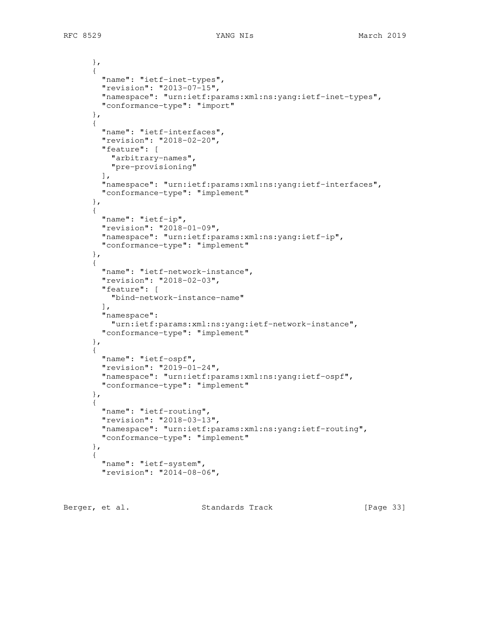RFC 8529 TANG NIS 2019

```
 },
 {
   "name": "ietf-inet-types",
   "revision": "2013-07-15",
   "namespace": "urn:ietf:params:xml:ns:yang:ietf-inet-types",
   "conformance-type": "import"
 },
 {
   "name": "ietf-interfaces",
   "revision": "2018-02-20",
   "feature": [
    "arbitrary-names",
     "pre-provisioning"
  \frac{1}{2},
   "namespace": "urn:ietf:params:xml:ns:yang:ietf-interfaces",
   "conformance-type": "implement"
 },
 {
   "name": "ietf-ip",
   "revision": "2018-01-09",
   "namespace": "urn:ietf:params:xml:ns:yang:ietf-ip",
   "conformance-type": "implement"
 },
 {
   "name": "ietf-network-instance",
   "revision": "2018-02-03",
   "feature": [
     "bind-network-instance-name"
  \frac{1}{2},
   "namespace":
     "urn:ietf:params:xml:ns:yang:ietf-network-instance",
   "conformance-type": "implement"
 },
 {
   "name": "ietf-ospf",
   "revision": "2019-01-24",
   "namespace": "urn:ietf:params:xml:ns:yang:ietf-ospf",
   "conformance-type": "implement"
 },
 {
   "name": "ietf-routing",
   "revision": "2018-03-13",
   "namespace": "urn:ietf:params:xml:ns:yang:ietf-routing",
   "conformance-type": "implement"
 },
 {
   "name": "ietf-system",
   "revision": "2014-08-06",
```
Berger, et al. Standards Track [Page 33]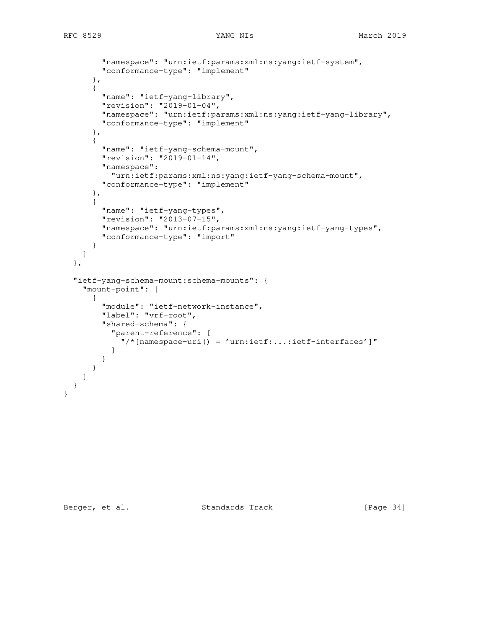```
 "namespace": "urn:ietf:params:xml:ns:yang:ietf-system",
       "conformance-type": "implement"
     },
     {
       "name": "ietf-yang-library",
       "revision": "2019-01-04",
       "namespace": "urn:ietf:params:xml:ns:yang:ietf-yang-library",
       "conformance-type": "implement"
     },
     {
       "name": "ietf-yang-schema-mount",
       "revision": "2019-01-14",
       "namespace":
        "urn:ietf:params:xml:ns:yang:ietf-yang-schema-mount",
       "conformance-type": "implement"
     },
     {
       "name": "ietf-yang-types",
       "revision": "2013-07-15",
       "namespace": "urn:ietf:params:xml:ns:yang:ietf-yang-types",
       "conformance-type": "import"
     }
   ]
 },
 "ietf-yang-schema-mount:schema-mounts": {
   "mount-point": [
     {
       "module": "ietf-network-instance",
       "label": "vrf-root",
       "shared-schema": {
         "parent-reference": [
          "/*[namespace-uri() = 'urn:ietf:...:ietf-interfaces']"
         ]
       }
    }
  ]
 }
```
}

Berger, et al. Standards Track [Page 34]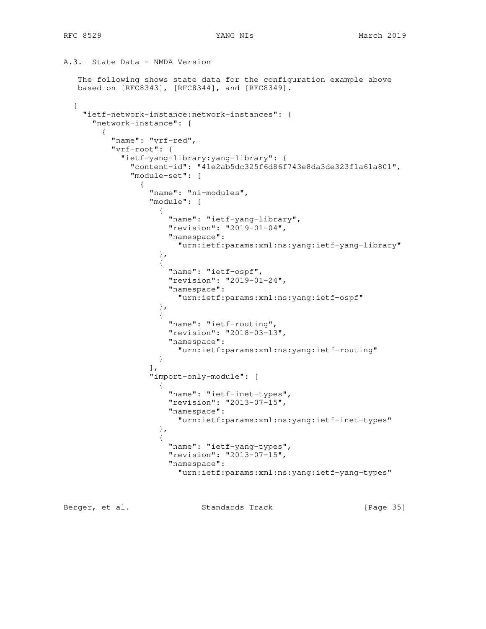```
A.3. State Data - NMDA Version
   The following shows state data for the configuration example above
   based on [RFC8343], [RFC8344], and [RFC8349].
   {
    "ietf-network-instance:network-instances": {
      "network-instance": [
        {
          "name": "vrf-red",
          "vrf-root": {
           "ietf-yang-library:yang-library": {
             "content-id": "41e2ab5dc325f6d86f743e8da3de323f1a61a801",
             "module-set": [
 {
                 "name": "ni-modules",
                 "module": [
{
                    "name": "ietf-yang-library",
                    "revision": "2019-01-04",
                    "namespace":
                      "urn:ietf:params:xml:ns:yang:ietf-yang-library"
 },
{
                    "name": "ietf-ospf",
                    "revision": "2019-01-24",
                    "namespace":
                      "urn:ietf:params:xml:ns:yang:ietf-ospf"
 },
{
                    "name": "ietf-routing",
                    "revision": "2018-03-13",
                    "namespace":
                      "urn:ietf:params:xml:ns:yang:ietf-routing"
 }
 ],
                 "import-only-module": [
 {
                    "name": "ietf-inet-types",
                    "revision": "2013-07-15",
                    "namespace":
                     "urn:ietf:params:xml:ns:yang:ietf-inet-types"
 },
 {
                    "name": "ietf-yang-types",
                    "revision": "2013-07-15",
                    "namespace":
                      "urn:ietf:params:xml:ns:yang:ietf-yang-types"
```
Berger, et al. Standards Track [Page 35]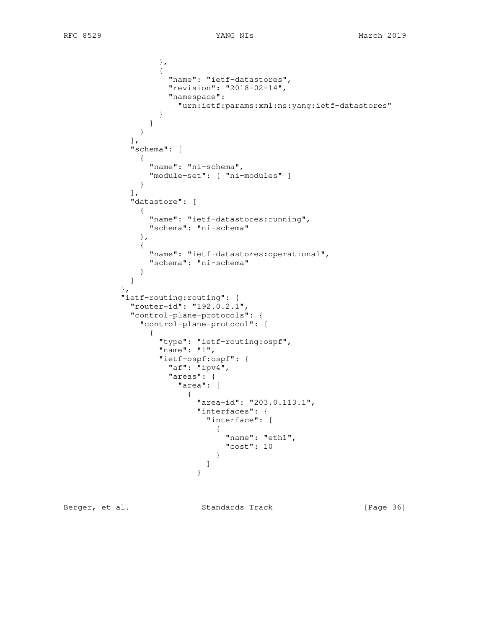```
 },
 {
                    "name": "ietf-datastores",
                    "revision": "2018-02-14",
                    "namespace":
                     "urn:ietf:params:xml:ns:yang:ietf-datastores"
 }
 ]
 }
             ],
             "schema": [
             {
                "name": "ni-schema",
               "module-set": [ "ni-modules" ]
              }
            \frac{1}{\sqrt{2}} "datastore": [
 {
                "name": "ietf-datastores:running",
                "schema": "ni-schema"
              },
 {
                "name": "ietf-datastores:operational",
                "schema": "ni-schema"
 }
 ]
           },
           "ietf-routing:routing": {
             "router-id": "192.0.2.1",
             "control-plane-protocols": {
              "control-plane-protocol": [
{\big not a set of a set of a set of a set of a set of a set of a set of a set of a set of a set of a set of a
                  "type": "ietf-routing:ospf",
                  "name": "1",
                  "ietf-ospf:ospf": {
                    "af": "ipv4",
                    "areas": {
                     "area": [
 {
                         "area-id": "203.0.113.1",
                         "interfaces": {
                          "interface": [
 {
                              "name": "eth1",
                              "cost": 10
 }
\blacksquare }
```
Berger, et al. Standards Track [Page 36]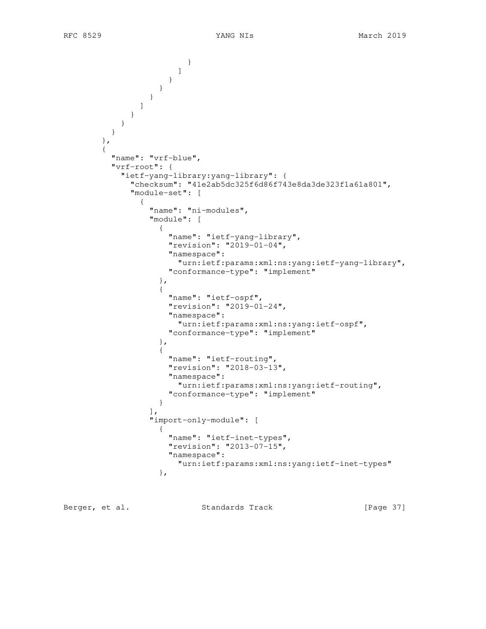```
 }
\sim 100 \sim 100 \sim 100 \sim 100 \sim 100 \sim 100 \sim 100 \sim 100 \sim 100 \sim 100 \sim 100 \sim 100 \sim 100 \sim 100 \sim 100 \sim 100 \sim 100 \sim 100 \sim 100 \sim 100 \sim 100 \sim 100 \sim 100 \sim 100 \sim 
 }
 }
 }
 ]
 }
              }
            }
          },
 {
             "name": "vrf-blue",
             "vrf-root": {
               "ietf-yang-library:yang-library": {
                 "checksum": "41e2ab5dc325f6d86f743e8da3de323f1a61a801",
                  "module-set": [
 {
                      "name": "ni-modules",
                      "module": [
 {
                           "name": "ietf-yang-library",
                           "revision": "2019-01-04",
                           "namespace":
                             "urn:ietf:params:xml:ns:yang:ietf-yang-library",
                           "conformance-type": "implement"
                         },
{
                           "name": "ietf-ospf",
                           "revision": "2019-01-24",
                           "namespace":
                             "urn:ietf:params:xml:ns:yang:ietf-ospf",
                           "conformance-type": "implement"
 },
 {
                           "name": "ietf-routing",
                           "revision": "2018-03-13",
                           "namespace":
                             "urn:ietf:params:xml:ns:yang:ietf-routing",
                        "conformance-type": "implement"
 }
\frac{1}{2}, \frac{1}{2}, \frac{1}{2}, \frac{1}{2}, \frac{1}{2}, \frac{1}{2}, \frac{1}{2}, \frac{1}{2}, \frac{1}{2}, \frac{1}{2}, \frac{1}{2}, \frac{1}{2}, \frac{1}{2}, \frac{1}{2}, \frac{1}{2}, \frac{1}{2}, \frac{1}{2}, \frac{1}{2}, \frac{1}{2}, \frac{1}{2},  "import-only-module": [
 {
                           "name": "ietf-inet-types",
                           "revision": "2013-07-15",
                           "namespace":
                              "urn:ietf:params:xml:ns:yang:ietf-inet-types"
 },
```
Berger, et al. Standards Track [Page 37]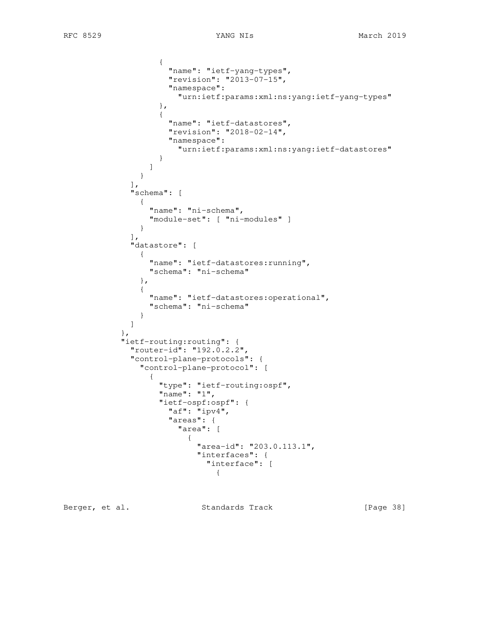```
 {
                     "name": "ietf-yang-types",
                     "revision": "2013-07-15",
                    "namespace":
                      "urn:ietf:params:xml:ns:yang:ietf-yang-types"
 },
 {
                     "name": "ietf-datastores",
                    "revision": "2018-02-14",
                    "namespace":
                      "urn:ietf:params:xml:ns:yang:ietf-datastores"
 }
 ]
 }
             ],
             "schema": [
 {
                 "name": "ni-schema",
                "module-set": [ "ni-modules" ]
              }
            \cdot "datastore": [
 {
                 "name": "ietf-datastores:running",
                 "schema": "ni-schema"
               },
 {
                 "name": "ietf-datastores:operational",
                 "schema": "ni-schema"
 }
 ]
            },
            "ietf-routing:routing": {
             "router-id": "192.0.2.2",
             "control-plane-protocols": {
               "control-plane-protocol": [
{\big not a set of a set of a set of a set of a set of a set of a set of a set of a set of a set of a set of a
                   "type": "ietf-routing:ospf",
                   "name": "1",
                   "ietf-ospf:ospf": {
                    "af": "ipv4",
                     "areas": {
                      "area": [
 {
                          "area-id": "203.0.113.1",
                          "interfaces": {
                            "interface": [
 {
```
Berger, et al. Standards Track [Page 38]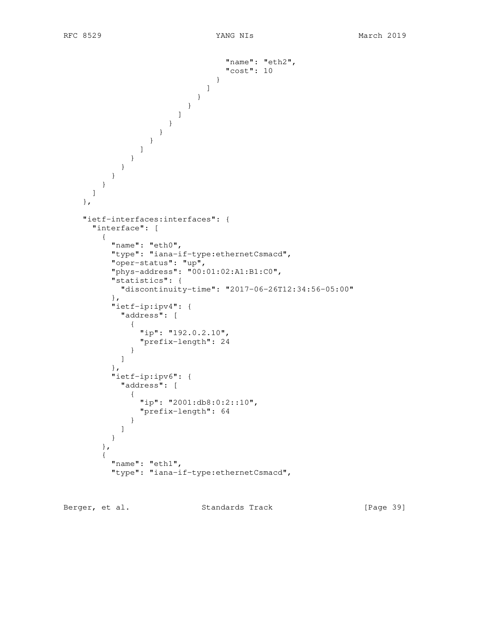```
 "name": "eth2",
                                     "cost": 10
 }
\blacksquare }
 }
\sim 100 \sim 100 \sim 100 \sim 100 \sim 100 \sim 100 \sim 100 \sim 100 \sim 100 \sim 100 \sim 100 \sim 100 \sim 100 \sim 100 \sim 100 \sim 100 \sim 100 \sim 100 \sim 100 \sim 100 \sim 100 \sim 100 \sim 100 \sim 100 \sim 
 }
 }
                   }
                 ]
              }
             }
          }
         }
      ]
     },
     "ietf-interfaces:interfaces": {
       "interface": [
         {
           "name": "eth0",
           "type": "iana-if-type:ethernetCsmacd",
 "oper-status": "up",
 "phys-address": "00:01:02:A1:B1:C0",
           "statistics": {
             "discontinuity-time": "2017-06-26T12:34:56-05:00"
           },
           "ietf-ip:ipv4": {
             "address": [
               {
                 "ip": "192.0.2.10",
                 "prefix-length": 24
 }
             ]
           },
           "ietf-ip:ipv6": {
             "address": [
               {
                 "ip": "2001:db8:0:2::10",
               "prefix-length": 64
 }
             ]
 }
         },
         {
           "name": "eth1",
           "type": "iana-if-type:ethernetCsmacd",
```
Berger, et al. Standards Track [Page 39]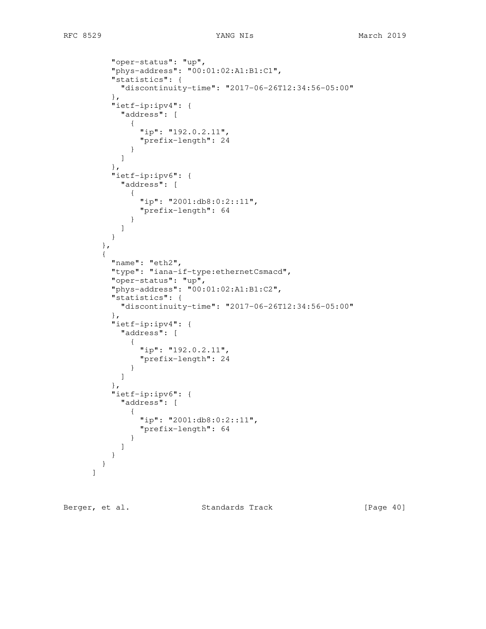```
 "oper-status": "up",
         "phys-address": "00:01:02:A1:B1:C1",
         "statistics": {
           "discontinuity-time": "2017-06-26T12:34:56-05:00"
         },
          "ietf-ip:ipv4": {
           "address": [
 {
               "ip": "192.0.2.11",
               "prefix-length": 24
 }
           ]
         },
          "ietf-ip:ipv6": {
           "address": [
             {
               "ip": "2001:db8:0:2::11",
               "prefix-length": 64
 }
 ]
 }
        },
 {
         "name": "eth2",
         "type": "iana-if-type:ethernetCsmacd",
 "oper-status": "up",
 "phys-address": "00:01:02:A1:B1:C2",
         "statistics": {
           "discontinuity-time": "2017-06-26T12:34:56-05:00"
         },
         "ietf-ip:ipv4": {
           "address": [
 {
               "ip": "192.0.2.11",
               "prefix-length": 24
 }
 ]
          },
          "ietf-ip:ipv6": {
           "address": [
 {
               "ip": "2001:db8:0:2::11",
               "prefix-length": 64
 }
           ]
         }
       }
      ]
```
Berger, et al. Standards Track [Page 40]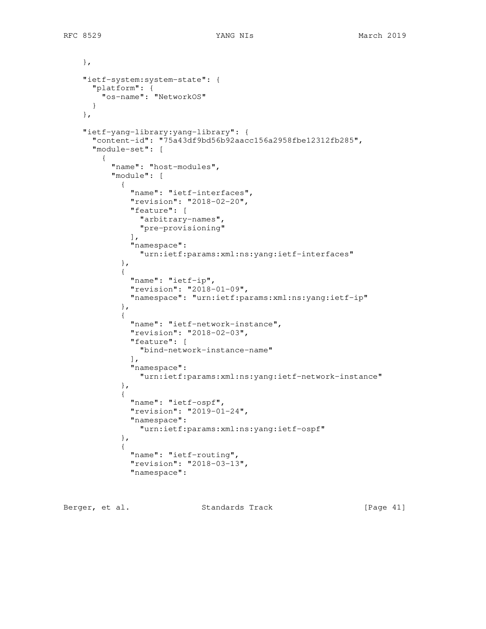```
 },
     "ietf-system:system-state": {
      "platform": {
        "os-name": "NetworkOS"
      }
    },
     "ietf-yang-library:yang-library": {
       "content-id": "75a43df9bd56b92aacc156a2958fbe12312fb285",
       "module-set": [
        {
           "name": "host-modules",
           "module": [
 {
               "name": "ietf-interfaces",
               "revision": "2018-02-20",
               "feature": [
                "arbitrary-names",
                 "pre-provisioning"
               ],
               "namespace":
                 "urn:ietf:params:xml:ns:yang:ietf-interfaces"
             },
 {
               "name": "ietf-ip",
               "revision": "2018-01-09",
               "namespace": "urn:ietf:params:xml:ns:yang:ietf-ip"
            },
 {
               "name": "ietf-network-instance",
               "revision": "2018-02-03",
               "feature": [
                 "bind-network-instance-name"
              \frac{1}{2},
               "namespace":
                 "urn:ietf:params:xml:ns:yang:ietf-network-instance"
             },
 {
               "name": "ietf-ospf",
               "revision": "2019-01-24",
               "namespace":
                 "urn:ietf:params:xml:ns:yang:ietf-ospf"
             },
 {
               "name": "ietf-routing",
               "revision": "2018-03-13",
               "namespace":
```
Berger, et al. Standards Track [Page 41]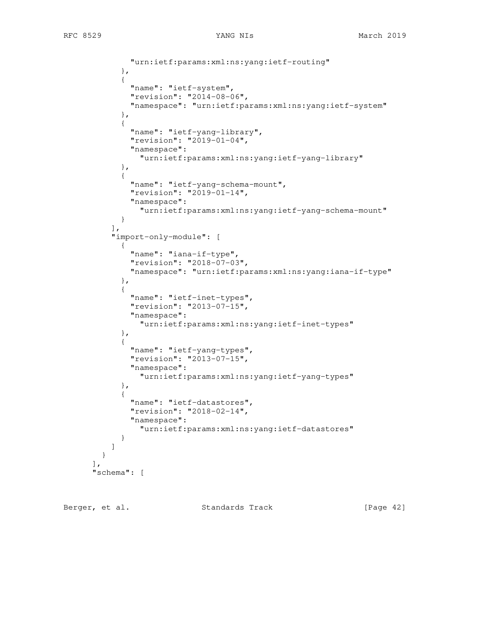```
 "urn:ietf:params:xml:ns:yang:ietf-routing"
            },
 {
              "name": "ietf-system",
              "revision": "2014-08-06",
              "namespace": "urn:ietf:params:xml:ns:yang:ietf-system"
            },
 {
              "name": "ietf-yang-library",
              "revision": "2019-01-04",
              "namespace":
                "urn:ietf:params:xml:ns:yang:ietf-yang-library"
            },
 {
              "name": "ietf-yang-schema-mount",
              "revision": "2019-01-14",
              "namespace":
                "urn:ietf:params:xml:ns:yang:ietf-yang-schema-mount"
 }
         \frac{1}{2} "import-only-module": [
 {
              "name": "iana-if-type",
              "revision": "2018-07-03",
              "namespace": "urn:ietf:params:xml:ns:yang:iana-if-type"
            },
 {
              "name": "ietf-inet-types",
              "revision": "2013-07-15",
              "namespace":
                "urn:ietf:params:xml:ns:yang:ietf-inet-types"
            },
 {
              "name": "ietf-yang-types",
              "revision": "2013-07-15",
              "namespace":
                "urn:ietf:params:xml:ns:yang:ietf-yang-types"
            },
 {
              "name": "ietf-datastores",
              "revision": "2018-02-14",
              "namespace":
                "urn:ietf:params:xml:ns:yang:ietf-datastores"
 }
          ]
        }
     \cdot "schema": [
```
Berger, et al. Standards Track [Page 42]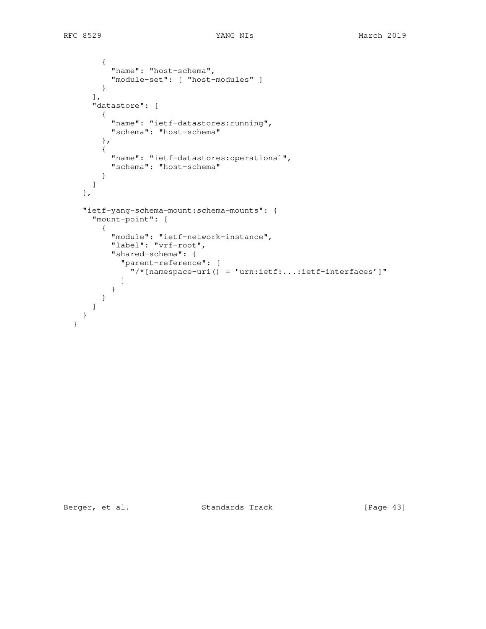```
 {
        "name": "host-schema",
        "module-set": [ "host-modules" ]
       }
    \frac{1}{2},
     "datastore": [
       {
         "name": "ietf-datastores:running",
         "schema": "host-schema"
       },
       {
         "name": "ietf-datastores:operational",
        "schema": "host-schema"
       }
     ]
   },
   "ietf-yang-schema-mount:schema-mounts": {
     "mount-point": [
       {
         "module": "ietf-network-instance",
         "label": "vrf-root",
         "shared-schema": {
           "parent-reference": [
              "/*[namespace-uri() = 'urn:ietf:...:ietf-interfaces']"
           ]
         }
      }
     ]
   }
 }
```
Berger, et al. Standards Track [Page 43]